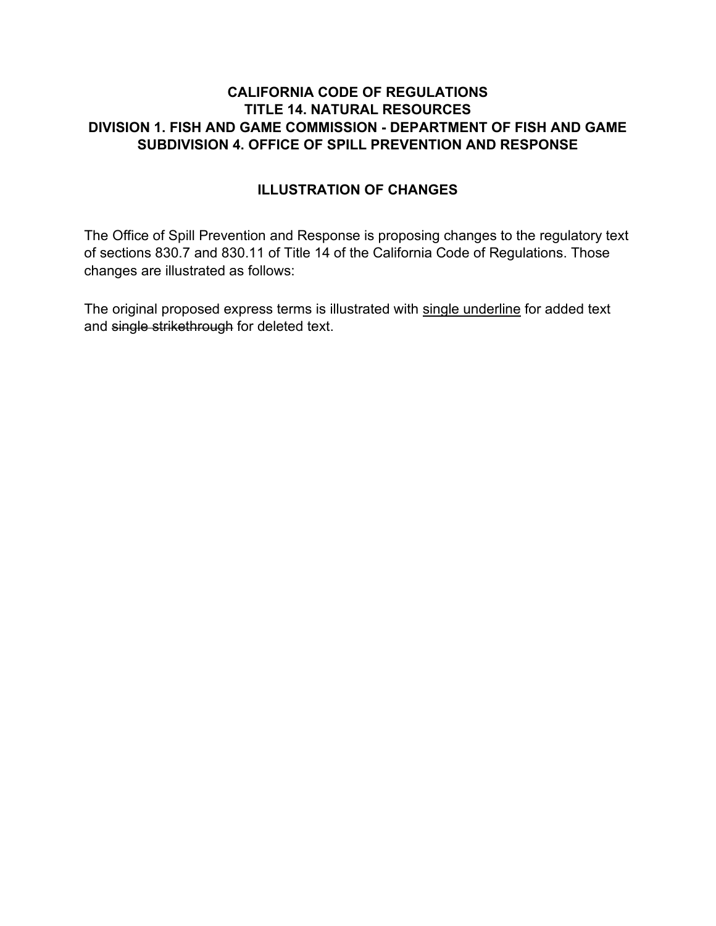### **CALIFORNIA CODE OF REGULATIONS TITLE 14. NATURAL RESOURCES DIVISION 1. FISH AND GAME COMMISSION - DEPARTMENT OF FISH AND GAME SUBDIVISION 4. OFFICE OF SPILL PREVENTION AND RESPONSE**

## **ILLUSTRATION OF CHANGES**

The Office of Spill Prevention and Response is proposing changes to the regulatory text of sections 830.7 and 830.11 of Title 14 of the California Code of Regulations. Those changes are illustrated as follows:

The original proposed express terms is illustrated with single underline for added text and single strikethrough for deleted text.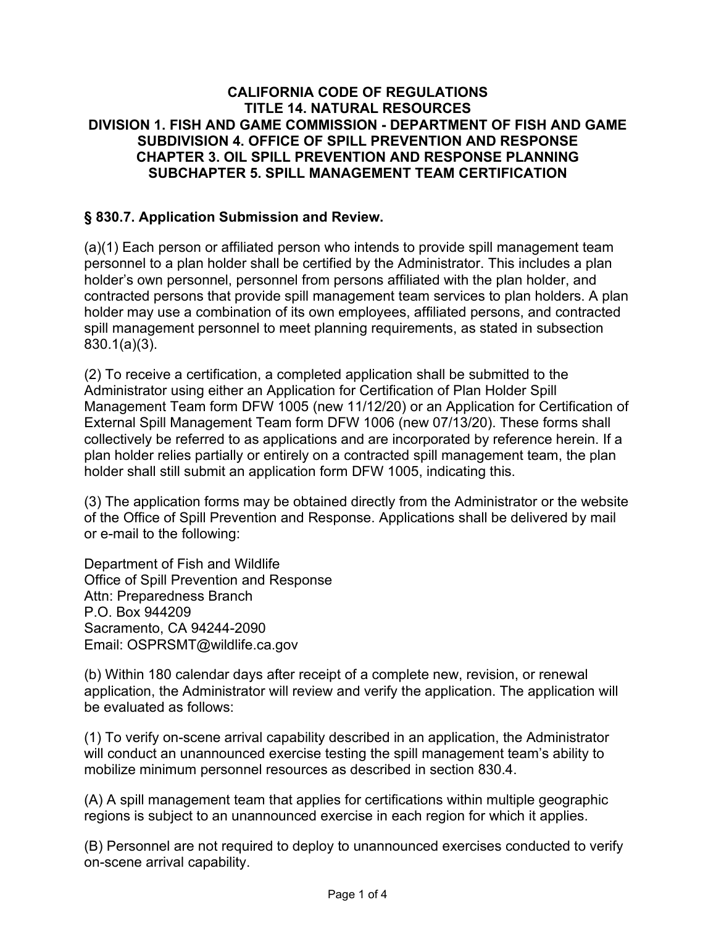#### **CALIFORNIA CODE OF REGULATIONS TITLE 14. NATURAL RESOURCES DIVISION 1. FISH AND GAME COMMISSION - DEPARTMENT OF FISH AND GAME SUBDIVISION 4. OFFICE OF SPILL PREVENTION AND RESPONSE CHAPTER 3. OIL SPILL PREVENTION AND RESPONSE PLANNING SUBCHAPTER 5. SPILL MANAGEMENT TEAM CERTIFICATION**

## **§ 830.7. Application Submission and Review.**

(a)(1) Each person or affiliated person who intends to provide spill management team personnel to a plan holder shall be certified by the Administrator. This includes a plan holder's own personnel, personnel from persons affiliated with the plan holder, and contracted persons that provide spill management team services to plan holders. A plan holder may use a combination of its own employees, affiliated persons, and contracted spill management personnel to meet planning requirements, as stated in subsection 830.1(a)(3).

(2) To receive a certification, a completed application shall be submitted to the Administrator using either an Application for Certification of Plan Holder Spill Management Team form DFW 1005 (new 11/12/20) or an Application for Certification of External Spill Management Team form DFW 1006 (new 07/13/20). These forms shall collectively be referred to as applications and are incorporated by reference herein. If a plan holder relies partially or entirely on a contracted spill management team, the plan holder shall still submit an application form DFW 1005, indicating this.

(3) The application forms may be obtained directly from the Administrator or the website of the Office of Spill Prevention and Response. Applications shall be delivered by mail or e-mail to the following:

Department of Fish and Wildlife Office of Spill Prevention and Response Attn: Preparedness Branch P.O. Box 944209 Sacramento, CA 94244-2090 Email: OSPRSMT@wildlife.ca.gov

(b) Within 180 calendar days after receipt of a complete new, revision, or renewal application, the Administrator will review and verify the application. The application will be evaluated as follows:

(1) To verify on-scene arrival capability described in an application, the Administrator will conduct an unannounced exercise testing the spill management team's ability to mobilize minimum personnel resources as described in section 830.4.

(A) A spill management team that applies for certifications within multiple geographic regions is subject to an unannounced exercise in each region for which it applies.

(B) Personnel are not required to deploy to unannounced exercises conducted to verify on-scene arrival capability.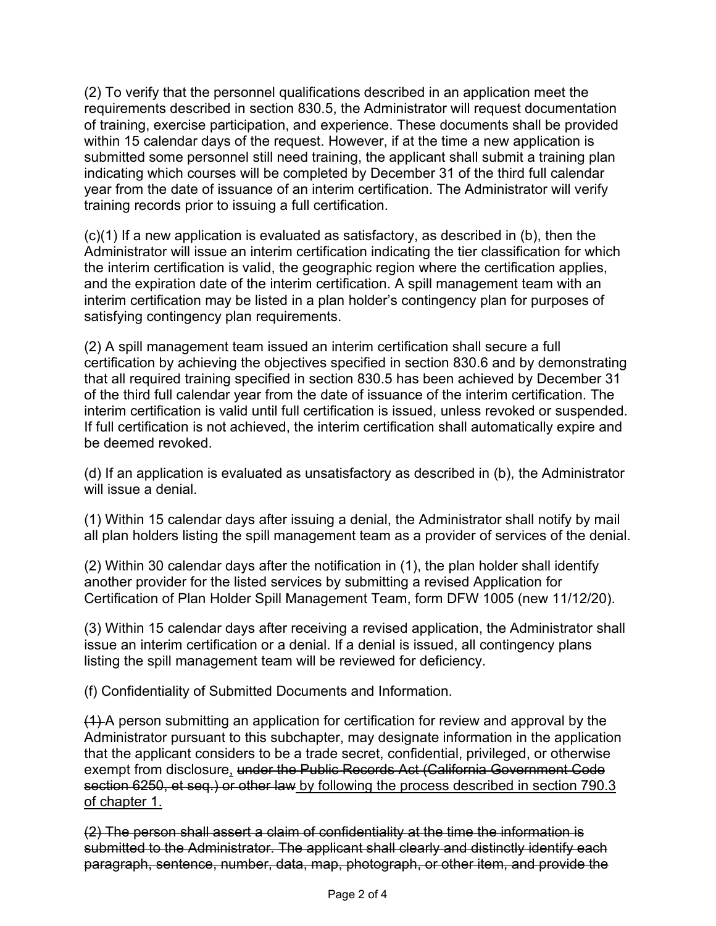(2) To verify that the personnel qualifications described in an application meet the requirements described in section 830.5, the Administrator will request documentation of training, exercise participation, and experience. These documents shall be provided within 15 calendar days of the request. However, if at the time a new application is submitted some personnel still need training, the applicant shall submit a training plan indicating which courses will be completed by December 31 of the third full calendar year from the date of issuance of an interim certification. The Administrator will verify training records prior to issuing a full certification.

(c)(1) If a new application is evaluated as satisfactory, as described in (b), then the Administrator will issue an interim certification indicating the tier classification for which the interim certification is valid, the geographic region where the certification applies, and the expiration date of the interim certification. A spill management team with an interim certification may be listed in a plan holder's contingency plan for purposes of satisfying contingency plan requirements.

(2) A spill management team issued an interim certification shall secure a full certification by achieving the objectives specified in section 830.6 and by demonstrating that all required training specified in section 830.5 has been achieved by December 31 of the third full calendar year from the date of issuance of the interim certification. The interim certification is valid until full certification is issued, unless revoked or suspended. If full certification is not achieved, the interim certification shall automatically expire and be deemed revoked.

(d) If an application is evaluated as unsatisfactory as described in (b), the Administrator will issue a denial.

(1) Within 15 calendar days after issuing a denial, the Administrator shall notify by mail all plan holders listing the spill management team as a provider of services of the denial.

(2) Within 30 calendar days after the notification in (1), the plan holder shall identify another provider for the listed services by submitting a revised Application for Certification of Plan Holder Spill Management Team, form DFW 1005 (new 11/12/20).

(3) Within 15 calendar days after receiving a revised application, the Administrator shall issue an interim certification or a denial. If a denial is issued, all contingency plans listing the spill management team will be reviewed for deficiency.

(f) Confidentiality of Submitted Documents and Information.

(1) A person submitting an application for certification for review and approval by the Administrator pursuant to this subchapter, may designate information in the application that the applicant considers to be a trade secret, confidential, privileged, or otherwise exempt from disclosure, under the Public Records Act (California Government Code section 6250, et seq.) or other law by following the process described in section 790.3 of chapter 1.

(2) The person shall assert a claim of confidentiality at the time the information is submitted to the Administrator. The applicant shall clearly and distinctly identify each paragraph, sentence, number, data, map, photograph, or other item, and provide the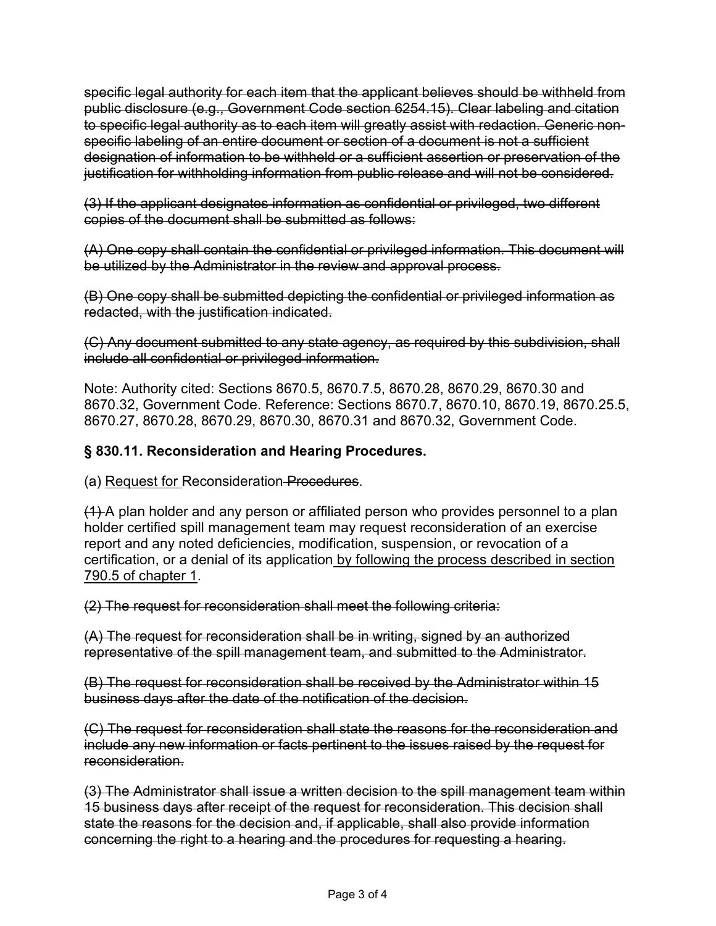specific legal authority for each item that the applicant believes should be withheld from public disclosure (e.g., Government Code section 6254.15). Clear labeling and citation to specific legal authority as to each item will greatly assist with redaction. Generic nonspecific labeling of an entire document or section of a document is not a sufficient designation of information to be withheld or a sufficient assertion or preservation of the justification for withholding information from public release and will not be considered.

(3) If the applicant designates information as confidential or privileged, two different copies of the document shall be submitted as follows:

(A) One copy shall contain the confidential or privileged information. This document will be utilized by the Administrator in the review and approval process.

(B) One copy shall be submitted depicting the confidential or privileged information as redacted, with the justification indicated.

(C) Any document submitted to any state agency, as required by this subdivision, shall include all confidential or privileged information.

Note: Authority cited: Sections 8670.5, 8670.7.5, 8670.28, 8670.29, 8670.30 and 8670.32, Government Code. Reference: Sections 8670.7, 8670.10, 8670.19, 8670.25.5, 8670.27, 8670.28, 8670.29, 8670.30, 8670.31 and 8670.32, Government Code.

# **§ 830.11. Reconsideration and Hearing Procedures.**

(a) Request for Reconsideration Procedures.

(1) A plan holder and any person or affiliated person who provides personnel to a plan holder certified spill management team may request reconsideration of an exercise report and any noted deficiencies, modification, suspension, or revocation of a certification, or a denial of its application by following the process described in section 790.5 of chapter 1.

(2) The request for reconsideration shall meet the following criteria:

(A) The request for reconsideration shall be in writing, signed by an authorized representative of the spill management team, and submitted to the Administrator.

(B) The request for reconsideration shall be received by the Administrator within 15 business days after the date of the notification of the decision.

(C) The request for reconsideration shall state the reasons for the reconsideration and include any new information or facts pertinent to the issues raised by the request for reconsideration.

(3) The Administrator shall issue a written decision to the spill management team within 15 business days after receipt of the request for reconsideration. This decision shall state the reasons for the decision and, if applicable, shall also provide information concerning the right to a hearing and the procedures for requesting a hearing.